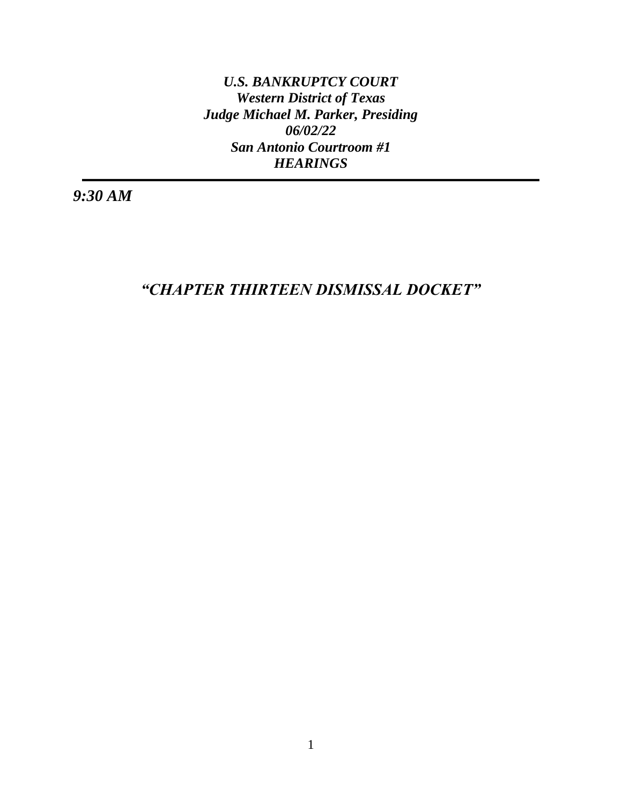*U.S. BANKRUPTCY COURT Western District of Texas Judge Michael M. Parker, Presiding 06/02/22 San Antonio Courtroom #1 HEARINGS*

*9:30 AM*

*"CHAPTER THIRTEEN DISMISSAL DOCKET"*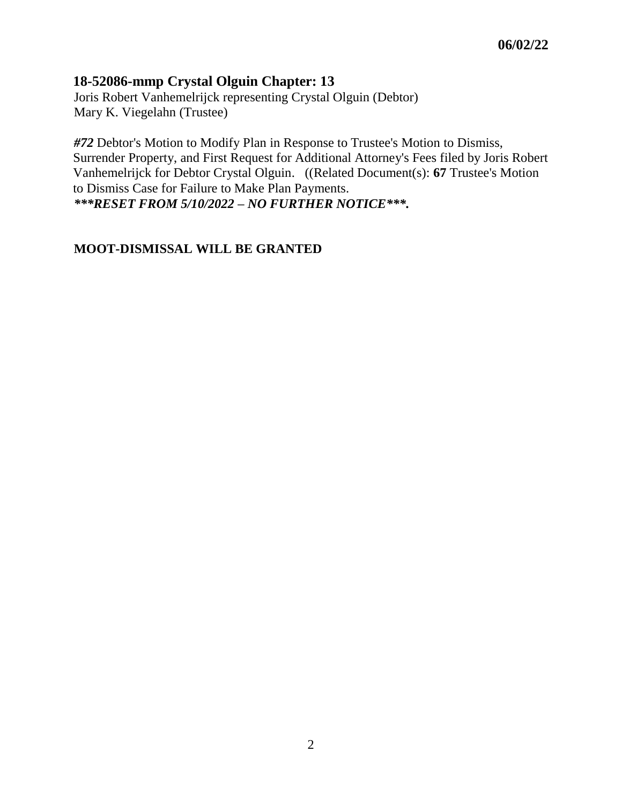#### **18-52086-mmp Crystal Olguin Chapter: 13**

Joris Robert Vanhemelrijck representing Crystal Olguin (Debtor) Mary K. Viegelahn (Trustee)

*#72* Debtor's Motion to Modify Plan in Response to Trustee's Motion to Dismiss, Surrender Property, and First Request for Additional Attorney's Fees filed by Joris Robert Vanhemelrijck for Debtor Crystal Olguin. ((Related Document(s): **[67](https://txwb-ecf.sso.dcn/doc1/180026820345)** Trustee's Motion to Dismiss Case for Failure to Make Plan Payments. *\*\*\*RESET FROM 5/10/2022 – NO FURTHER NOTICE\*\*\*.*

#### **MOOT-DISMISSAL WILL BE GRANTED**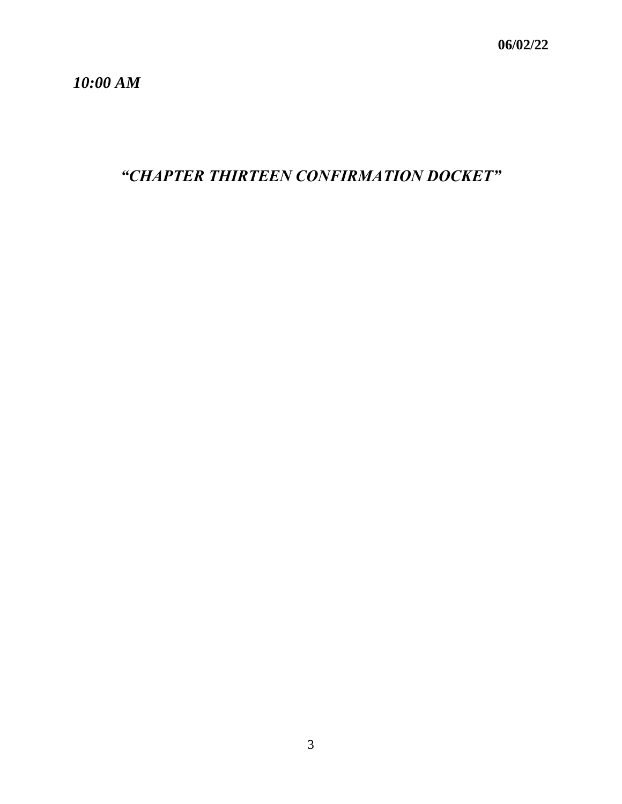*10:00 AM*

*"CHAPTER THIRTEEN CONFIRMATION DOCKET"*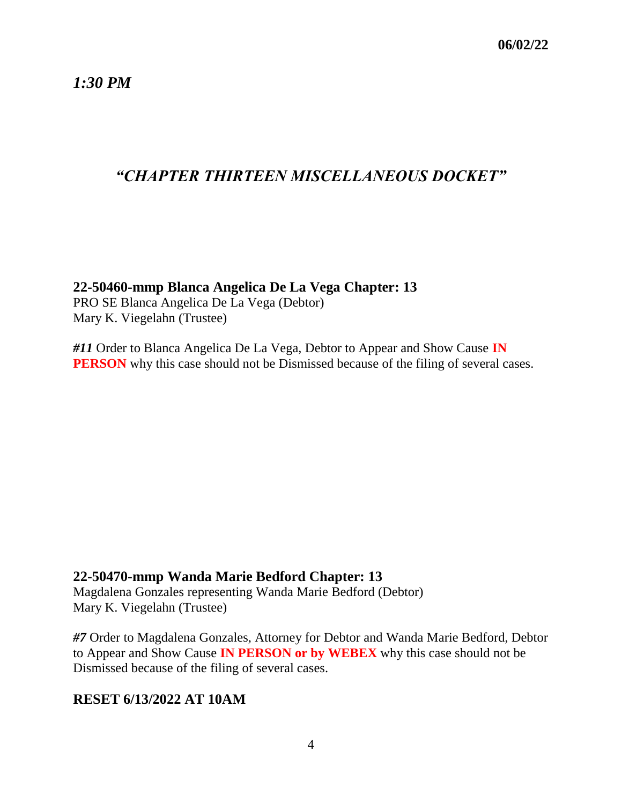*1:30 PM*

# *"CHAPTER THIRTEEN MISCELLANEOUS DOCKET"*

#### **22-50460-mmp Blanca Angelica De La Vega Chapter: 13**

PRO SE Blanca Angelica De La Vega (Debtor) Mary K. Viegelahn (Trustee)

*#11* Order to Blanca Angelica De La Vega, Debtor to Appear and Show Cause **IN PERSON** why this case should not be Dismissed because of the filing of several cases.

### **22-50470-mmp Wanda Marie Bedford Chapter: 13**

Magdalena Gonzales representing Wanda Marie Bedford (Debtor) Mary K. Viegelahn (Trustee)

*#7* Order to Magdalena Gonzales, Attorney for Debtor and Wanda Marie Bedford, Debtor to Appear and Show Cause **IN PERSON or by WEBEX** why this case should not be Dismissed because of the filing of several cases.

### **RESET 6/13/2022 AT 10AM**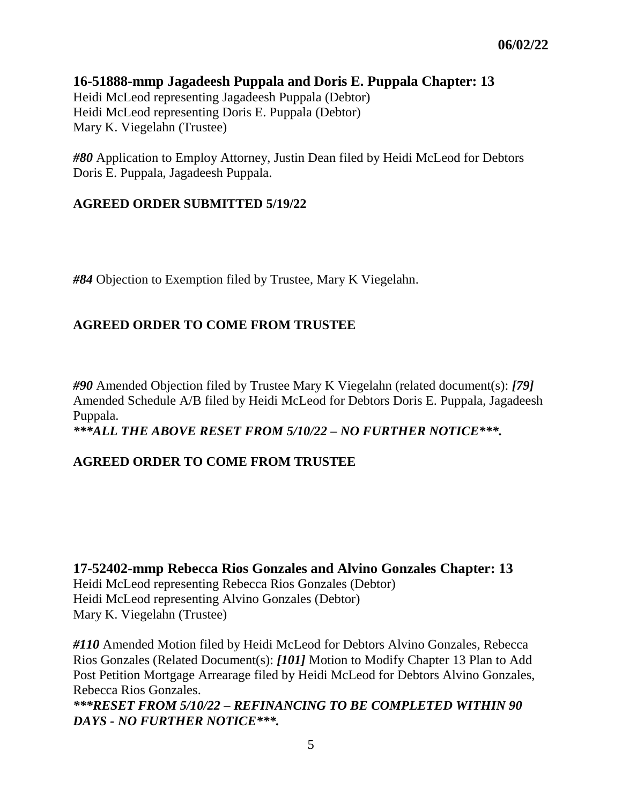#### **16-51888-mmp Jagadeesh Puppala and Doris E. Puppala Chapter: 13** Heidi McLeod representing Jagadeesh Puppala (Debtor) Heidi McLeod representing Doris E. Puppala (Debtor) Mary K. Viegelahn (Trustee)

*#80* Application to Employ Attorney, Justin Dean filed by Heidi McLeod for Debtors Doris E. Puppala, Jagadeesh Puppala.

#### **AGREED ORDER SUBMITTED 5/19/22**

*#84* Objection to Exemption filed by Trustee, Mary K Viegelahn.

### **AGREED ORDER TO COME FROM TRUSTEE**

*#90* Amended Objection filed by Trustee Mary K Viegelahn (related document(s): *[79]* Amended Schedule A/B filed by Heidi McLeod for Debtors Doris E. Puppala, Jagadeesh Puppala. *\*\*\*ALL THE ABOVE RESET FROM 5/10/22 – NO FURTHER NOTICE\*\*\*.*

### **AGREED ORDER TO COME FROM TRUSTEE**

**17-52402-mmp Rebecca Rios Gonzales and Alvino Gonzales Chapter: 13** Heidi McLeod representing Rebecca Rios Gonzales (Debtor) Heidi McLeod representing Alvino Gonzales (Debtor) Mary K. Viegelahn (Trustee)

*#110* Amended Motion filed by Heidi McLeod for Debtors Alvino Gonzales, Rebecca Rios Gonzales (Related Document(s): *[101]* Motion to Modify Chapter 13 Plan to Add Post Petition Mortgage Arrearage filed by Heidi McLeod for Debtors Alvino Gonzales, Rebecca Rios Gonzales.

*\*\*\*RESET FROM 5/10/22 – REFINANCING TO BE COMPLETED WITHIN 90 DAYS - NO FURTHER NOTICE\*\*\*.*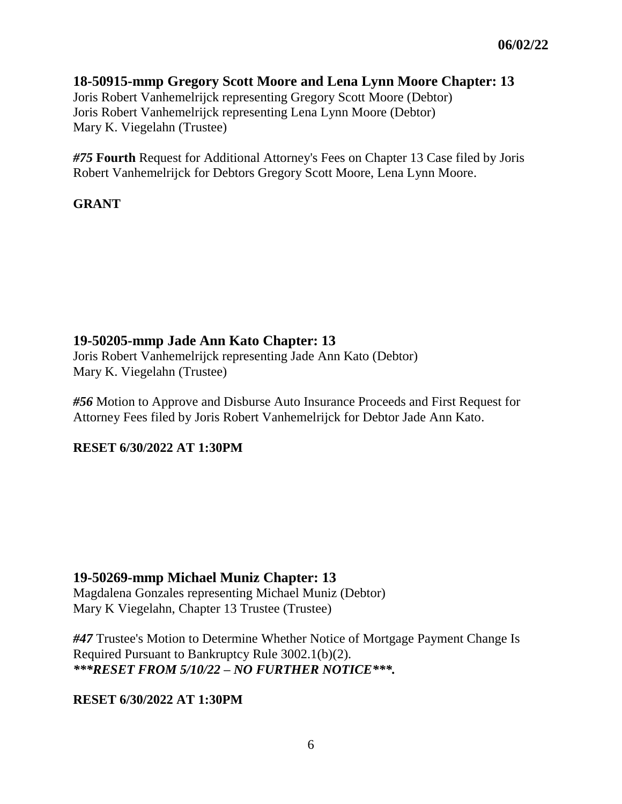# **18-50915-mmp Gregory Scott Moore and Lena Lynn Moore Chapter: 13**

Joris Robert Vanhemelrijck representing Gregory Scott Moore (Debtor) Joris Robert Vanhemelrijck representing Lena Lynn Moore (Debtor) Mary K. Viegelahn (Trustee)

*#75* **Fourth** Request for Additional Attorney's Fees on Chapter 13 Case filed by Joris Robert Vanhemelrijck for Debtors Gregory Scott Moore, Lena Lynn Moore.

#### **GRANT**

# **19-50205-mmp Jade Ann Kato Chapter: 13**

Joris Robert Vanhemelrijck representing Jade Ann Kato (Debtor) Mary K. Viegelahn (Trustee)

*#56* Motion to Approve and Disburse Auto Insurance Proceeds and First Request for Attorney Fees filed by Joris Robert Vanhemelrijck for Debtor Jade Ann Kato.

**RESET 6/30/2022 AT 1:30PM**

### **19-50269-mmp Michael Muniz Chapter: 13**

Magdalena Gonzales representing Michael Muniz (Debtor) Mary K Viegelahn, Chapter 13 Trustee (Trustee)

*#47* Trustee's Motion to Determine Whether Notice of Mortgage Payment Change Is Required Pursuant to Bankruptcy Rule 3002.1(b)(2). *\*\*\*RESET FROM 5/10/22 – NO FURTHER NOTICE\*\*\*.*

### **RESET 6/30/2022 AT 1:30PM**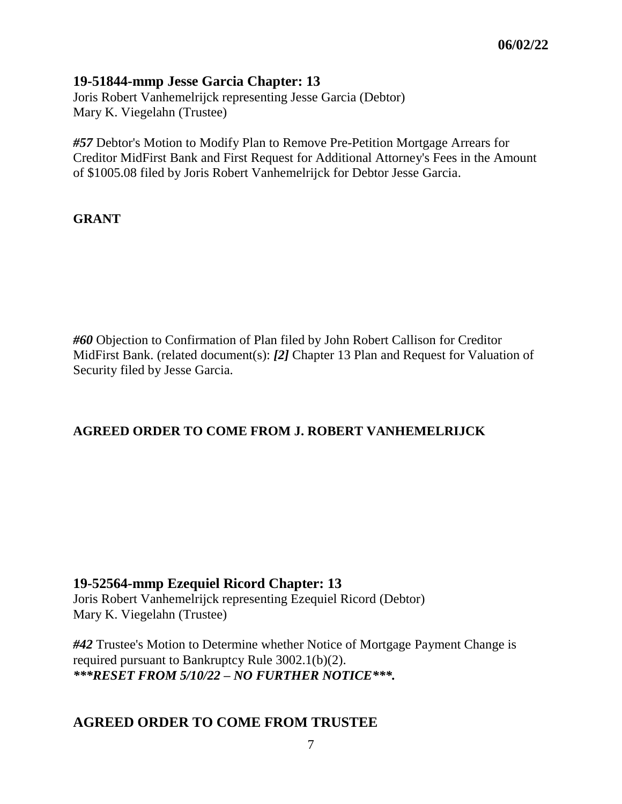### **19-51844-mmp Jesse Garcia Chapter: 13**

Joris Robert Vanhemelrijck representing Jesse Garcia (Debtor) Mary K. Viegelahn (Trustee)

*#57* Debtor's Motion to Modify Plan to Remove Pre-Petition Mortgage Arrears for Creditor MidFirst Bank and First Request for Additional Attorney's Fees in the Amount of \$1005.08 filed by Joris Robert Vanhemelrijck for Debtor Jesse Garcia.

#### **GRANT**

*#60* Objection to Confirmation of Plan filed by John Robert Callison for Creditor MidFirst Bank. (related document(s): *[2]* Chapter 13 Plan and Request for Valuation of Security filed by Jesse Garcia.

### **AGREED ORDER TO COME FROM J. ROBERT VANHEMELRIJCK**

#### **19-52564-mmp Ezequiel Ricord Chapter: 13**

Joris Robert Vanhemelrijck representing Ezequiel Ricord (Debtor) Mary K. Viegelahn (Trustee)

*#42* Trustee's Motion to Determine whether Notice of Mortgage Payment Change is required pursuant to Bankruptcy Rule 3002.1(b)(2). *\*\*\*RESET FROM 5/10/22 – NO FURTHER NOTICE\*\*\*.*

### **AGREED ORDER TO COME FROM TRUSTEE**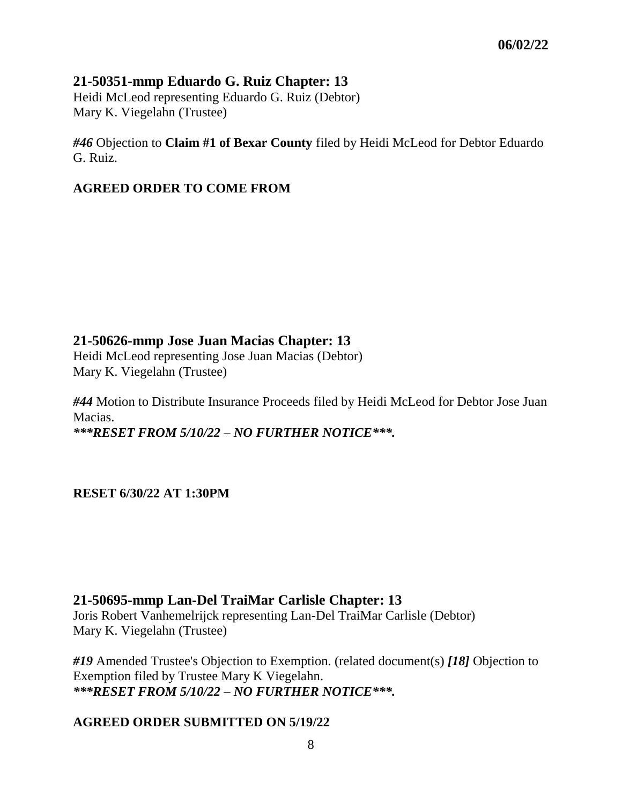### **21-50351-mmp Eduardo G. Ruiz Chapter: 13**

Heidi McLeod representing Eduardo G. Ruiz (Debtor) Mary K. Viegelahn (Trustee)

*#46* Objection to **Claim #1 of Bexar County** filed by Heidi McLeod for Debtor Eduardo G. Ruiz.

#### **AGREED ORDER TO COME FROM**

# **21-50626-mmp Jose Juan Macias Chapter: 13**

Heidi McLeod representing Jose Juan Macias (Debtor) Mary K. Viegelahn (Trustee)

*#44* Motion to Distribute Insurance Proceeds filed by Heidi McLeod for Debtor Jose Juan Macias. *\*\*\*RESET FROM 5/10/22 – NO FURTHER NOTICE\*\*\*.*

**RESET 6/30/22 AT 1:30PM**

### **21-50695-mmp Lan-Del TraiMar Carlisle Chapter: 13**

Joris Robert Vanhemelrijck representing Lan-Del TraiMar Carlisle (Debtor) Mary K. Viegelahn (Trustee)

*#19* Amended Trustee's Objection to Exemption. (related document(s) *[18]* Objection to Exemption filed by Trustee Mary K Viegelahn. *\*\*\*RESET FROM 5/10/22 – NO FURTHER NOTICE\*\*\*.*

### **AGREED ORDER SUBMITTED ON 5/19/22**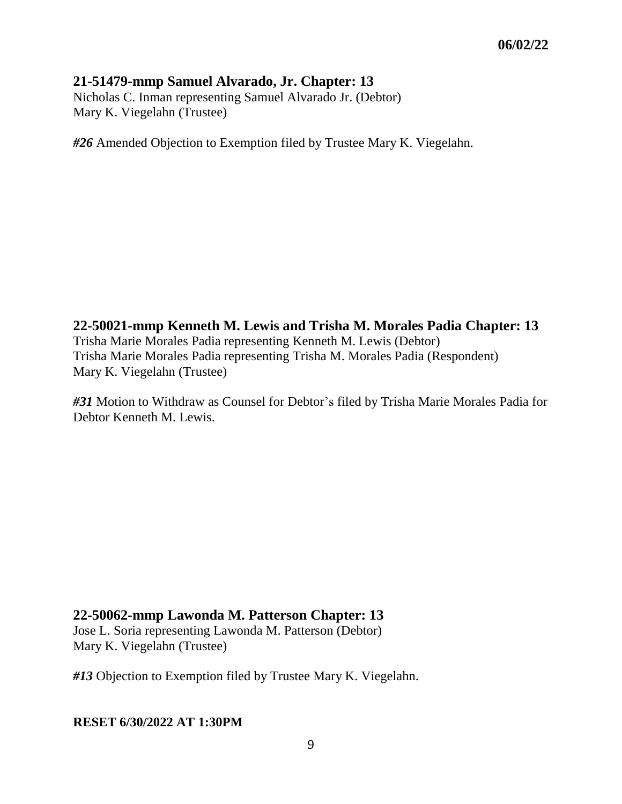### **21-51479-mmp Samuel Alvarado, Jr. Chapter: 13**

Nicholas C. Inman representing Samuel Alvarado Jr. (Debtor) Mary K. Viegelahn (Trustee)

*#26* Amended Objection to Exemption filed by Trustee Mary K. Viegelahn.

**22-50021-mmp Kenneth M. Lewis and Trisha M. Morales Padia Chapter: 13** Trisha Marie Morales Padia representing Kenneth M. Lewis (Debtor) Trisha Marie Morales Padia representing Trisha M. Morales Padia (Respondent) Mary K. Viegelahn (Trustee)

*#31* Motion to Withdraw as Counsel for Debtor's filed by Trisha Marie Morales Padia for Debtor Kenneth M. Lewis.

### **22-50062-mmp Lawonda M. Patterson Chapter: 13**

Jose L. Soria representing Lawonda M. Patterson (Debtor) Mary K. Viegelahn (Trustee)

*#13* Objection to Exemption filed by Trustee Mary K. Viegelahn.

#### **RESET 6/30/2022 AT 1:30PM**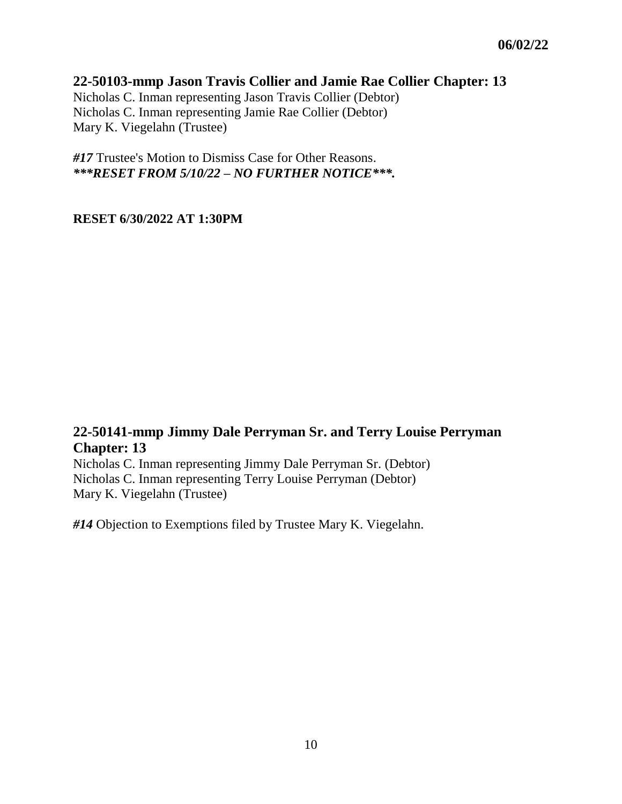### **22-50103-mmp Jason Travis Collier and Jamie Rae Collier Chapter: 13**

Nicholas C. Inman representing Jason Travis Collier (Debtor) Nicholas C. Inman representing Jamie Rae Collier (Debtor) Mary K. Viegelahn (Trustee)

*#17* Trustee's Motion to Dismiss Case for Other Reasons. *\*\*\*RESET FROM 5/10/22 – NO FURTHER NOTICE\*\*\*.*

#### **RESET 6/30/2022 AT 1:30PM**

# **22-50141-mmp Jimmy Dale Perryman Sr. and Terry Louise Perryman Chapter: 13**

Nicholas C. Inman representing Jimmy Dale Perryman Sr. (Debtor) Nicholas C. Inman representing Terry Louise Perryman (Debtor) Mary K. Viegelahn (Trustee)

*#14* Objection to Exemptions filed by Trustee Mary K. Viegelahn.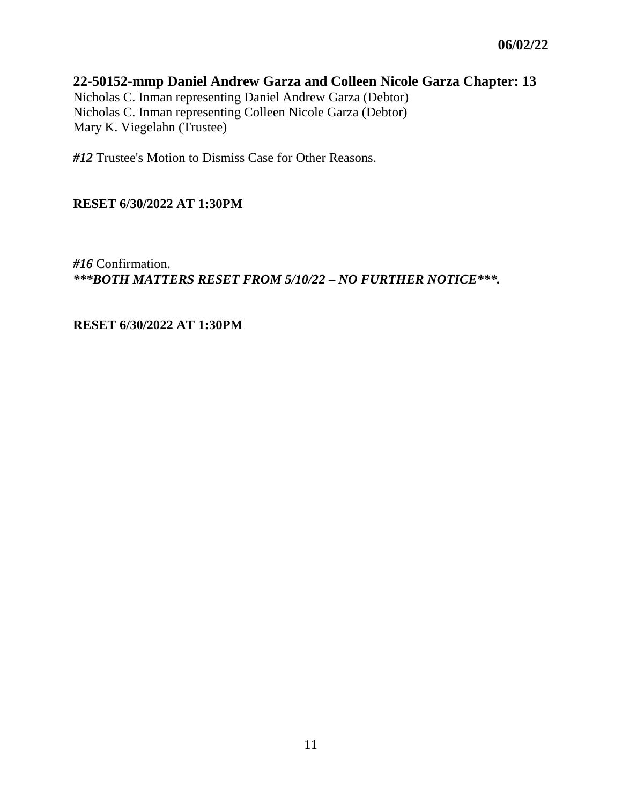### **22-50152-mmp Daniel Andrew Garza and Colleen Nicole Garza Chapter: 13**

Nicholas C. Inman representing Daniel Andrew Garza (Debtor) Nicholas C. Inman representing Colleen Nicole Garza (Debtor) Mary K. Viegelahn (Trustee)

*#12* Trustee's Motion to Dismiss Case for Other Reasons.

#### **RESET 6/30/2022 AT 1:30PM**

*#16* Confirmation. *\*\*\*BOTH MATTERS RESET FROM 5/10/22 – NO FURTHER NOTICE\*\*\*.*

**RESET 6/30/2022 AT 1:30PM**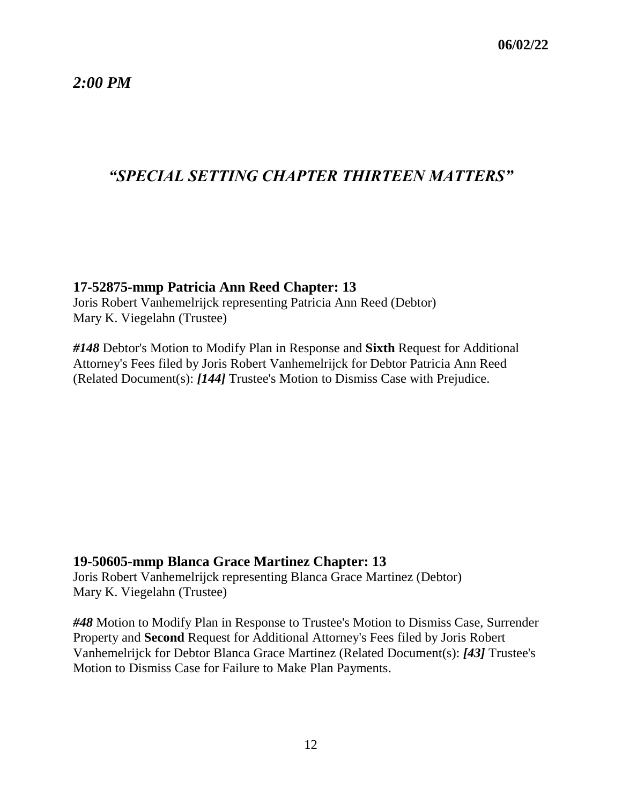*2:00 PM*

# *"SPECIAL SETTING CHAPTER THIRTEEN MATTERS"*

#### **17-52875-mmp Patricia Ann Reed Chapter: 13**

Joris Robert Vanhemelrijck representing Patricia Ann Reed (Debtor) Mary K. Viegelahn (Trustee)

*#148* Debtor's Motion to Modify Plan in Response and **Sixth** Request for Additional Attorney's Fees filed by Joris Robert Vanhemelrijck for Debtor Patricia Ann Reed (Related Document(s): *[144]* Trustee's Motion to Dismiss Case with Prejudice.

#### **19-50605-mmp Blanca Grace Martinez Chapter: 13**

Joris Robert Vanhemelrijck representing Blanca Grace Martinez (Debtor) Mary K. Viegelahn (Trustee)

*#48* Motion to Modify Plan in Response to Trustee's Motion to Dismiss Case, Surrender Property and **Second** Request for Additional Attorney's Fees filed by Joris Robert Vanhemelrijck for Debtor Blanca Grace Martinez (Related Document(s): *[43]* Trustee's Motion to Dismiss Case for Failure to Make Plan Payments.